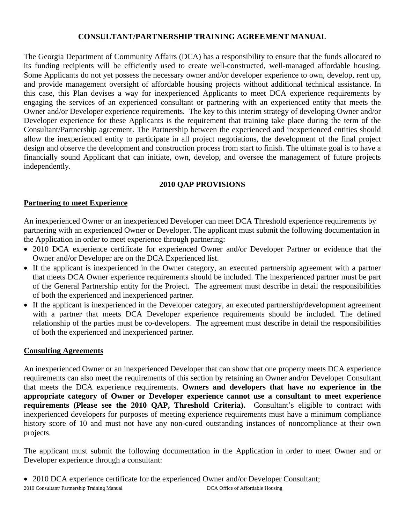# **CONSULTANT/PARTNERSHIP TRAINING AGREEMENT MANUAL**

The Georgia Department of Community Affairs (DCA) has a responsibility to ensure that the funds allocated to its funding recipients will be efficiently used to create well-constructed, well-managed affordable housing. Some Applicants do not yet possess the necessary owner and/or developer experience to own, develop, rent up, and provide management oversight of affordable housing projects without additional technical assistance. In this case, this Plan devises a way for inexperienced Applicants to meet DCA experience requirements by engaging the services of an experienced consultant or partnering with an experienced entity that meets the Owner and/or Developer experience requirements. The key to this interim strategy of developing Owner and/or Developer experience for these Applicants is the requirement that training take place during the term of the Consultant/Partnership agreement. The Partnership between the experienced and inexperienced entities should allow the inexperienced entity to participate in all project negotiations, the development of the final project design and observe the development and construction process from start to finish. The ultimate goal is to have a financially sound Applicant that can initiate, own, develop, and oversee the management of future projects independently.

# **2010 QAP PROVISIONS**

#### **Partnering to meet Experience**

An inexperienced Owner or an inexperienced Developer can meet DCA Threshold experience requirements by partnering with an experienced Owner or Developer. The applicant must submit the following documentation in the Application in order to meet experience through partnering:

- 2010 DCA experience certificate for experienced Owner and/or Developer Partner or evidence that the Owner and/or Developer are on the DCA Experienced list.
- If the applicant is inexperienced in the Owner category, an executed partnership agreement with a partner that meets DCA Owner experience requirements should be included. The inexperienced partner must be part of the General Partnership entity for the Project. The agreement must describe in detail the responsibilities of both the experienced and inexperienced partner.
- If the applicant is inexperienced in the Developer category, an executed partnership/development agreement with a partner that meets DCA Developer experience requirements should be included. The defined relationship of the parties must be co-developers. The agreement must describe in detail the responsibilities of both the experienced and inexperienced partner.

#### **Consulting Agreements**

An inexperienced Owner or an inexperienced Developer that can show that one property meets DCA experience requirements can also meet the requirements of this section by retaining an Owner and/or Developer Consultant that meets the DCA experience requirements. **Owners and developers that have no experience in the appropriate category of Owner or Developer experience cannot use a consultant to meet experience requirements (Please see the 2010 QAP, Threshold Criteria).** Consultant's eligible to contract with inexperienced developers for purposes of meeting experience requirements must have a minimum compliance history score of 10 and must not have any non-cured outstanding instances of noncompliance at their own projects.

The applicant must submit the following documentation in the Application in order to meet Owner and or Developer experience through a consultant:

• 2010 DCA experience certificate for the experienced Owner and/or Developer Consultant;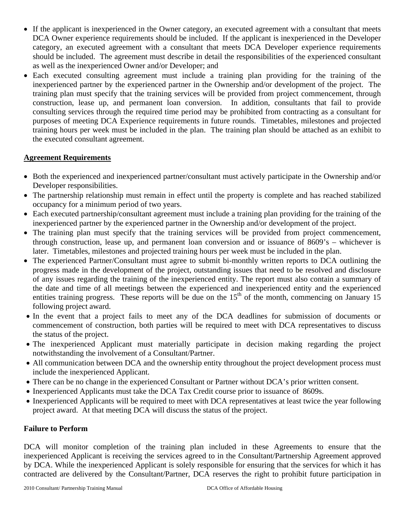- If the applicant is inexperienced in the Owner category, an executed agreement with a consultant that meets DCA Owner experience requirements should be included. If the applicant is inexperienced in the Developer category, an executed agreement with a consultant that meets DCA Developer experience requirements should be included. The agreement must describe in detail the responsibilities of the experienced consultant as well as the inexperienced Owner and/or Developer; and
- Each executed consulting agreement must include a training plan providing for the training of the inexperienced partner by the experienced partner in the Ownership and/or development of the project. The training plan must specify that the training services will be provided from project commencement, through construction, lease up, and permanent loan conversion. In addition, consultants that fail to provide consulting services through the required time period may be prohibited from contracting as a consultant for purposes of meeting DCA Experience requirements in future rounds. Timetables, milestones and projected training hours per week must be included in the plan. The training plan should be attached as an exhibit to the executed consultant agreement.

### **Agreement Requirements**

- Both the experienced and inexperienced partner/consultant must actively participate in the Ownership and/or Developer responsibilities.
- The partnership relationship must remain in effect until the property is complete and has reached stabilized occupancy for a minimum period of two years.
- Each executed partnership/consultant agreement must include a training plan providing for the training of the inexperienced partner by the experienced partner in the Ownership and/or development of the project.
- The training plan must specify that the training services will be provided from project commencement, through construction, lease up, and permanent loan conversion and or issuance of 8609's – whichever is later. Timetables, milestones and projected training hours per week must be included in the plan.
- The experienced Partner/Consultant must agree to submit bi-monthly written reports to DCA outlining the progress made in the development of the project, outstanding issues that need to be resolved and disclosure of any issues regarding the training of the inexperienced entity. The report must also contain a summary of the date and time of all meetings between the experienced and inexperienced entity and the experienced entities training progress. These reports will be due on the  $15<sup>th</sup>$  of the month, commencing on January 15 following project award.
- In the event that a project fails to meet any of the DCA deadlines for submission of documents or commencement of construction, both parties will be required to meet with DCA representatives to discuss the status of the project.
- The inexperienced Applicant must materially participate in decision making regarding the project notwithstanding the involvement of a Consultant/Partner.
- All communication between DCA and the ownership entity throughout the project development process must include the inexperienced Applicant.
- There can be no change in the experienced Consultant or Partner without DCA's prior written consent.
- Inexperienced Applicants must take the DCA Tax Credit course prior to issuance of 8609s.
- Inexperienced Applicants will be required to meet with DCA representatives at least twice the year following project award. At that meeting DCA will discuss the status of the project.

# **Failure to Perform**

DCA will monitor completion of the training plan included in these Agreements to ensure that the inexperienced Applicant is receiving the services agreed to in the Consultant/Partnership Agreement approved by DCA. While the inexperienced Applicant is solely responsible for ensuring that the services for which it has contracted are delivered by the Consultant/Partner, DCA reserves the right to prohibit future participation in